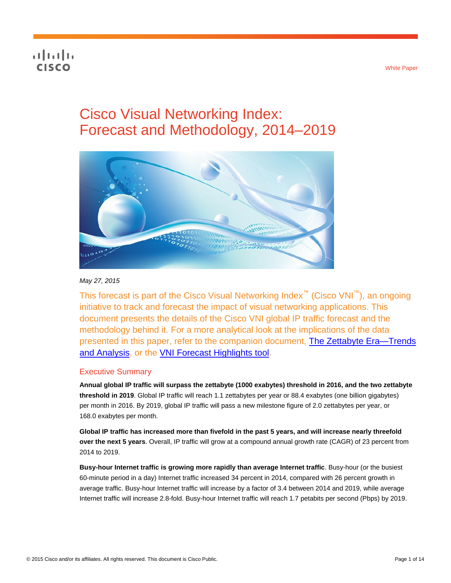## **CISCO**

# Cisco Visual Networking Index: Forecast and Methodology, 2014–2019



## *May 27, 2015*

This forecast is part of the Cisco Visual Networking Index™ (Cisco VNI™), an ongoing initiative to track and forecast the impact of visual networking applications. This document presents the details of the Cisco VNI global IP traffic forecast and the methodology behind it. For a more analytical look at the implications of the data presented in this paper, refer to the companion document, [The Zettabyte Era—](http://www.cisco.com/en/US/solutions/collateral/ns341/ns525/ns537/ns705/ns827/VNI_Hyperconnectivity_WP.html)Trends and Analysis, or the [VNI Forecast Highlights tool.](http://www.cisco.com/web/solutions/sp/vni/vni_forecast_highlights/index.html)

## Executive Summary

**Annual global IP traffic will surpass the zettabyte (1000 exabytes) threshold in 2016, and the two zettabyte threshold in 2019**. Global IP traffic will reach 1.1 zettabytes per year or 88.4 exabytes (one billion gigabytes) per month in 2016. By 2019, global IP traffic will pass a new milestone figure of 2.0 zettabytes per year, or 168.0 exabytes per month.

**Global IP traffic has increased more than fivefold in the past 5 years, and will increase nearly threefold over the next 5 years**. Overall, IP traffic will grow at a compound annual growth rate (CAGR) of 23 percent from 2014 to 2019.

**Busy-hour Internet traffic is growing more rapidly than average Internet traffic**. Busy-hour (or the busiest 60-minute period in a day) Internet traffic increased 34 percent in 2014, compared with 26 percent growth in average traffic. Busy-hour Internet traffic will increase by a factor of 3.4 between 2014 and 2019, while average Internet traffic will increase 2.8-fold. Busy-hour Internet traffic will reach 1.7 petabits per second (Pbps) by 2019.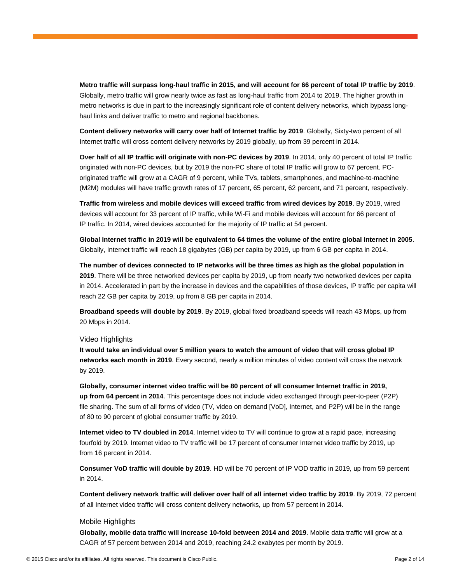**Metro traffic will surpass long-haul traffic in 2015, and will account for 66 percent of total IP traffic by 2019**. Globally, metro traffic will grow nearly twice as fast as long-haul traffic from 2014 to 2019. The higher growth in metro networks is due in part to the increasingly significant role of content delivery networks, which bypass longhaul links and deliver traffic to metro and regional backbones.

**Content delivery networks will carry over half of Internet traffic by 2019**. Globally, Sixty-two percent of all Internet traffic will cross content delivery networks by 2019 globally, up from 39 percent in 2014.

**Over half of all IP traffic will originate with non-PC devices by 2019**. In 2014, only 40 percent of total IP traffic originated with non-PC devices, but by 2019 the non-PC share of total IP traffic will grow to 67 percent. PCoriginated traffic will grow at a CAGR of 9 percent, while TVs, tablets, smartphones, and machine-to-machine (M2M) modules will have traffic growth rates of 17 percent, 65 percent, 62 percent, and 71 percent, respectively.

**Traffic from wireless and mobile devices will exceed traffic from wired devices by 2019**. By 2019, wired devices will account for 33 percent of IP traffic, while Wi-Fi and mobile devices will account for 66 percent of IP traffic. In 2014, wired devices accounted for the majority of IP traffic at 54 percent.

**Global Internet traffic in 2019 will be equivalent to 64 times the volume of the entire global Internet in 2005**. Globally, Internet traffic will reach 18 gigabytes (GB) per capita by 2019, up from 6 GB per capita in 2014.

**The number of devices connected to IP networks will be three times as high as the global population in 2019**. There will be three networked devices per capita by 2019, up from nearly two networked devices per capita in 2014. Accelerated in part by the increase in devices and the capabilities of those devices, IP traffic per capita will reach 22 GB per capita by 2019, up from 8 GB per capita in 2014.

**Broadband speeds will double by 2019**. By 2019, global fixed broadband speeds will reach 43 Mbps, up from 20 Mbps in 2014.

### Video Highlights

**It would take an individual over 5 million years to watch the amount of video that will cross global IP networks each month in 2019**. Every second, nearly a million minutes of video content will cross the network by 2019.

**Globally, consumer internet video traffic will be 80 percent of all consumer Internet traffic in 2019, up from 64 percent in 2014**. This percentage does not include video exchanged through peer-to-peer (P2P) file sharing. The sum of all forms of video (TV, video on demand [VoD], Internet, and P2P) will be in the range of 80 to 90 percent of global consumer traffic by 2019.

**Internet video to TV doubled in 2014**. Internet video to TV will continue to grow at a rapid pace, increasing fourfold by 2019. Internet video to TV traffic will be 17 percent of consumer Internet video traffic by 2019, up from 16 percent in 2014.

**Consumer VoD traffic will double by 2019**. HD will be 70 percent of IP VOD traffic in 2019, up from 59 percent in 2014.

**Content delivery network traffic will deliver over half of all internet video traffic by 2019**. By 2019, 72 percent of all Internet video traffic will cross content delivery networks, up from 57 percent in 2014.

#### Mobile Highlights

**Globally, mobile data traffic will increase 10-fold between 2014 and 2019**. Mobile data traffic will grow at a CAGR of 57 percent between 2014 and 2019, reaching 24.2 exabytes per month by 2019.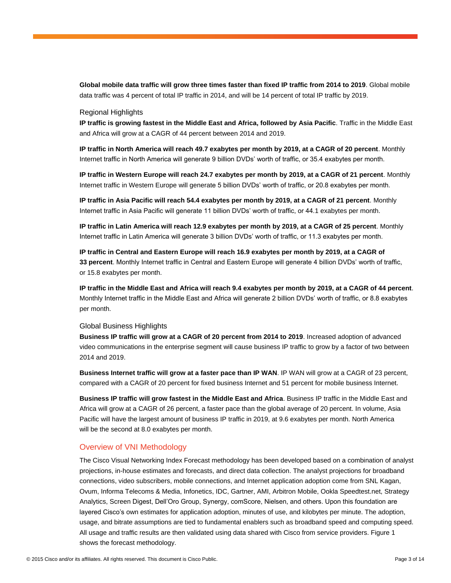**Global mobile data traffic will grow three times faster than fixed IP traffic from 2014 to 2019**. Global mobile data traffic was 4 percent of total IP traffic in 2014, and will be 14 percent of total IP traffic by 2019.

#### Regional Highlights

**IP traffic is growing fastest in the Middle East and Africa, followed by Asia Pacific**. Traffic in the Middle East and Africa will grow at a CAGR of 44 percent between 2014 and 2019.

**IP traffic in North America will reach 49.7 exabytes per month by 2019, at a CAGR of 20 percent**. Monthly Internet traffic in North America will generate 9 billion DVDs' worth of traffic, or 35.4 exabytes per month.

**IP traffic in Western Europe will reach 24.7 exabytes per month by 2019, at a CAGR of 21 percent**. Monthly Internet traffic in Western Europe will generate 5 billion DVDs' worth of traffic, or 20.8 exabytes per month.

**IP traffic in Asia Pacific will reach 54.4 exabytes per month by 2019, at a CAGR of 21 percent**. Monthly Internet traffic in Asia Pacific will generate 11 billion DVDs' worth of traffic, or 44.1 exabytes per month.

**IP traffic in Latin America will reach 12.9 exabytes per month by 2019, at a CAGR of 25 percent**. Monthly Internet traffic in Latin America will generate 3 billion DVDs' worth of traffic, or 11.3 exabytes per month.

**IP traffic in Central and Eastern Europe will reach 16.9 exabytes per month by 2019, at a CAGR of 33 percent**. Monthly Internet traffic in Central and Eastern Europe will generate 4 billion DVDs' worth of traffic, or 15.8 exabytes per month.

**IP traffic in the Middle East and Africa will reach 9.4 exabytes per month by 2019, at a CAGR of 44 percent**. Monthly Internet traffic in the Middle East and Africa will generate 2 billion DVDs' worth of traffic, or 8.8 exabytes per month.

#### Global Business Highlights

**Business IP traffic will grow at a CAGR of 20 percent from 2014 to 2019**. Increased adoption of advanced video communications in the enterprise segment will cause business IP traffic to grow by a factor of two between 2014 and 2019.

**Business Internet traffic will grow at a faster pace than IP WAN**. IP WAN will grow at a CAGR of 23 percent, compared with a CAGR of 20 percent for fixed business Internet and 51 percent for mobile business Internet.

**Business IP traffic will grow fastest in the Middle East and Africa**. Business IP traffic in the Middle East and Africa will grow at a CAGR of 26 percent, a faster pace than the global average of 20 percent. In volume, Asia Pacific will have the largest amount of business IP traffic in 2019, at 9.6 exabytes per month. North America will be the second at 8.0 exabytes per month.

## Overview of VNI Methodology

The Cisco Visual Networking Index Forecast methodology has been developed based on a combination of analyst projections, in-house estimates and forecasts, and direct data collection. The analyst projections for broadband connections, video subscribers, mobile connections, and Internet application adoption come from SNL Kagan, Ovum, Informa Telecoms & Media, Infonetics, IDC, Gartner, AMI, Arbitron Mobile, Ookla Speedtest.net, Strategy Analytics, Screen Digest, Dell'Oro Group, Synergy, comScore, Nielsen, and others. Upon this foundation are layered Cisco's own estimates for application adoption, minutes of use, and kilobytes per minute. The adoption, usage, and bitrate assumptions are tied to fundamental enablers such as broadband speed and computing speed. All usage and traffic results are then validated using data shared with Cisco from service providers. Figure 1 shows the forecast methodology.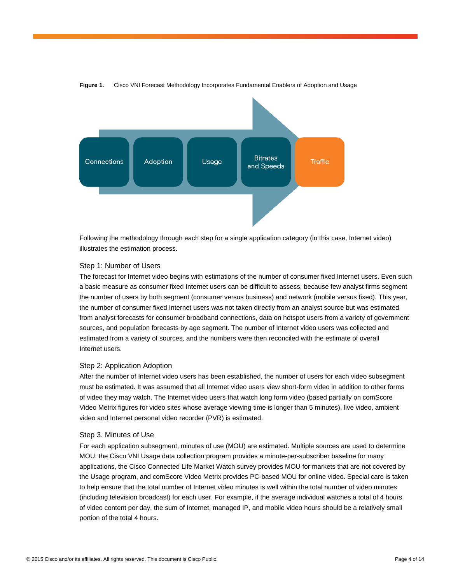

**Figure 1.** Cisco VNI Forecast Methodology Incorporates Fundamental Enablers of Adoption and Usage

Following the methodology through each step for a single application category (in this case, Internet video) illustrates the estimation process.

### Step 1: Number of Users

The forecast for Internet video begins with estimations of the number of consumer fixed Internet users. Even such a basic measure as consumer fixed Internet users can be difficult to assess, because few analyst firms segment the number of users by both segment (consumer versus business) and network (mobile versus fixed). This year, the number of consumer fixed Internet users was not taken directly from an analyst source but was estimated from analyst forecasts for consumer broadband connections, data on hotspot users from a variety of government sources, and population forecasts by age segment. The number of Internet video users was collected and estimated from a variety of sources, and the numbers were then reconciled with the estimate of overall Internet users.

#### Step 2: Application Adoption

After the number of Internet video users has been established, the number of users for each video subsegment must be estimated. It was assumed that all Internet video users view short-form video in addition to other forms of video they may watch. The Internet video users that watch long form video (based partially on comScore Video Metrix figures for video sites whose average viewing time is longer than 5 minutes), live video, ambient video and Internet personal video recorder (PVR) is estimated.

#### Step 3. Minutes of Use

For each application subsegment, minutes of use (MOU) are estimated. Multiple sources are used to determine MOU: the Cisco VNI Usage data collection program provides a minute-per-subscriber baseline for many applications, the Cisco Connected Life Market Watch survey provides MOU for markets that are not covered by the Usage program, and comScore Video Metrix provides PC-based MOU for online video. Special care is taken to help ensure that the total number of Internet video minutes is well within the total number of video minutes (including television broadcast) for each user. For example, if the average individual watches a total of 4 hours of video content per day, the sum of Internet, managed IP, and mobile video hours should be a relatively small portion of the total 4 hours.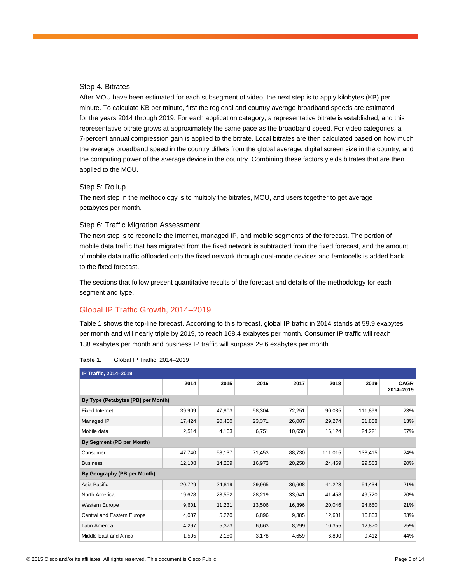## Step 4. Bitrates

After MOU have been estimated for each subsegment of video, the next step is to apply kilobytes (KB) per minute. To calculate KB per minute, first the regional and country average broadband speeds are estimated for the years 2014 through 2019. For each application category, a representative bitrate is established, and this representative bitrate grows at approximately the same pace as the broadband speed. For video categories, a 7-percent annual compression gain is applied to the bitrate. Local bitrates are then calculated based on how much the average broadband speed in the country differs from the global average, digital screen size in the country, and the computing power of the average device in the country. Combining these factors yields bitrates that are then applied to the MOU.

### Step 5: Rollup

The next step in the methodology is to multiply the bitrates, MOU, and users together to get average petabytes per month.

## Step 6: Traffic Migration Assessment

The next step is to reconcile the Internet, managed IP, and mobile segments of the forecast. The portion of mobile data traffic that has migrated from the fixed network is subtracted from the fixed forecast, and the amount of mobile data traffic offloaded onto the fixed network through dual-mode devices and femtocells is added back to the fixed forecast.

The sections that follow present quantitative results of the forecast and details of the methodology for each segment and type.

## Global IP Traffic Growth, 2014–2019

Table 1 shows the top-line forecast. According to this forecast, global IP traffic in 2014 stands at 59.9 exabytes per month and will nearly triple by 2019, to reach 168.4 exabytes per month. Consumer IP traffic will reach 138 exabytes per month and business IP traffic will surpass 29.6 exabytes per month.

| IP Traffic, 2014-2019              |        |        |        |        |         |         |                          |
|------------------------------------|--------|--------|--------|--------|---------|---------|--------------------------|
|                                    | 2014   | 2015   | 2016   | 2017   | 2018    | 2019    | <b>CAGR</b><br>2014-2019 |
| By Type (Petabytes [PB] per Month) |        |        |        |        |         |         |                          |
| <b>Fixed Internet</b>              | 39,909 | 47,803 | 58,304 | 72,251 | 90,085  | 111,899 | 23%                      |
| Managed IP                         | 17,424 | 20,460 | 23,371 | 26,087 | 29,274  | 31,858  | 13%                      |
| Mobile data                        | 2,514  | 4,163  | 6,751  | 10,650 | 16,124  | 24,221  | 57%                      |
| By Segment (PB per Month)          |        |        |        |        |         |         |                          |
| Consumer                           | 47,740 | 58,137 | 71,453 | 88,730 | 111,015 | 138,415 | 24%                      |
| <b>Business</b>                    | 12,108 | 14,289 | 16,973 | 20,258 | 24,469  | 29,563  | 20%                      |
| By Geography (PB per Month)        |        |        |        |        |         |         |                          |
| Asia Pacific                       | 20,729 | 24,819 | 29,965 | 36,608 | 44,223  | 54,434  | 21%                      |
| North America                      | 19,628 | 23,552 | 28,219 | 33,641 | 41,458  | 49,720  | 20%                      |
| <b>Western Europe</b>              | 9,601  | 11,231 | 13,506 | 16,396 | 20,046  | 24,680  | 21%                      |
| Central and Eastern Europe         | 4,087  | 5,270  | 6,896  | 9,385  | 12,601  | 16,863  | 33%                      |
| Latin America                      | 4,297  | 5,373  | 6,663  | 8,299  | 10,355  | 12,870  | 25%                      |
| Middle East and Africa             | 1,505  | 2,180  | 3,178  | 4,659  | 6,800   | 9,412   | 44%                      |

| Table 1. |  |  | Global IP Traffic, 2014-2019 |
|----------|--|--|------------------------------|
|----------|--|--|------------------------------|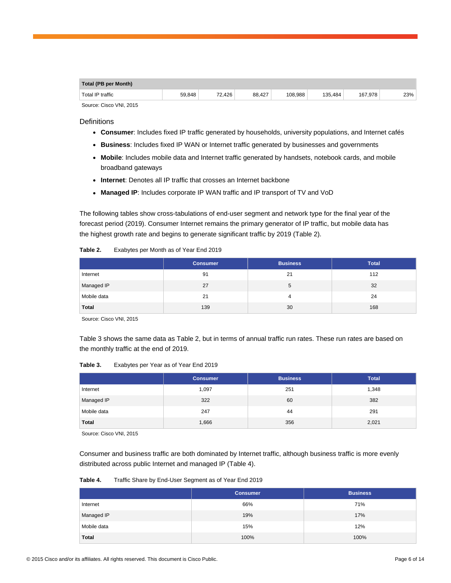| Total (PB per Month)    |        |        |        |         |         |         |     |
|-------------------------|--------|--------|--------|---------|---------|---------|-----|
| Total IP traffic        | 59.848 | 72.426 | 88.427 | 108.988 | 135.484 | 167.978 | 23% |
| Source: Cisco VNI, 2015 |        |        |        |         |         |         |     |

**Definitions** 

- **Consumer**: Includes fixed IP traffic generated by households, university populations, and Internet cafés
- **Business**: Includes fixed IP WAN or Internet traffic generated by businesses and governments
- **Mobile**: Includes mobile data and Internet traffic generated by handsets, notebook cards, and mobile broadband gateways
- **Internet**: Denotes all IP traffic that crosses an Internet backbone
- Managed IP: Includes corporate IP WAN traffic and IP transport of TV and VoD

The following tables show cross-tabulations of end-user segment and network type for the final year of the forecast period (2019). Consumer Internet remains the primary generator of IP traffic, but mobile data has the highest growth rate and begins to generate significant traffic by 2019 (Table 2).

|              | <b>Consumer</b> | <b>Business</b> | <b>Total</b> |
|--------------|-----------------|-----------------|--------------|
| Internet     | 91              | 21              | 112          |
| Managed IP   | 27              | 5               | 32           |
| Mobile data  | 21              | 4               | 24           |
| <b>Total</b> | 139             | 30              | 168          |

Source: Cisco VNI, 2015

Table 3 shows the same data as Table 2, but in terms of annual traffic run rates. These run rates are based on the monthly traffic at the end of 2019.

**Table 3.** Exabytes per Year as of Year End 2019

|              | <b>Consumer</b> | <b>Business</b> | <b>Total</b> |
|--------------|-----------------|-----------------|--------------|
| Internet     | 1,097           | 251             | 1,348        |
| Managed IP   | 322             | 60              | 382          |
| Mobile data  | 247             | 44              | 291          |
| <b>Total</b> | 1,666           | 356             | 2,021        |

Source: Cisco VNI, 2015

Consumer and business traffic are both dominated by Internet traffic, although business traffic is more evenly distributed across public Internet and managed IP (Table 4).

**Table 4.** Traffic Share by End-User Segment as of Year End 2019

|              | <b>Consumer</b> | <b>Business</b> |
|--------------|-----------------|-----------------|
| Internet     | 66%             | 71%             |
| Managed IP   | 19%             | 17%             |
| Mobile data  | 15%             | 12%             |
| <b>Total</b> | 100%            | 100%            |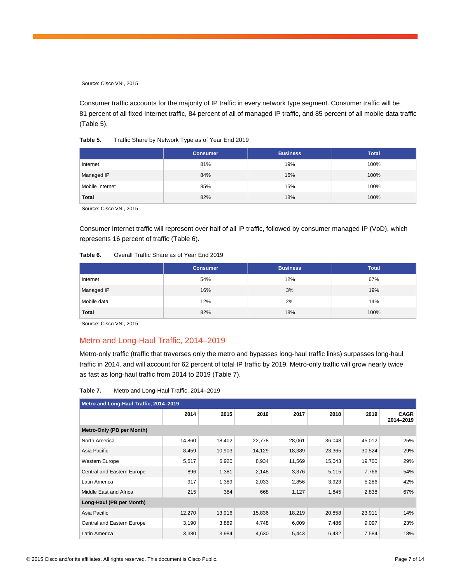Consumer traffic accounts for the majority of IP traffic in every network type segment. Consumer traffic will be 81 percent of all fixed Internet traffic, 84 percent of all of managed IP traffic, and 85 percent of all mobile data traffic (Table 5).

| Table 5. | Traffic Share by Network Type as of Year End 2019 |  |
|----------|---------------------------------------------------|--|
|          |                                                   |  |

|                 | <b>Consumer</b> | <b>Business</b> | <b>Total</b> |
|-----------------|-----------------|-----------------|--------------|
| Internet        | 81%             | 19%             | 100%         |
| Managed IP      | 84%             | 16%             | 100%         |
| Mobile Internet | 85%             | 15%             | 100%         |
| <b>Total</b>    | 82%             | 18%             | 100%         |

Source: Cisco VNI, 2015

Consumer Internet traffic will represent over half of all IP traffic, followed by consumer managed IP (VoD), which represents 16 percent of traffic (Table 6).

#### **Table 6.** Overall Traffic Share as of Year End 2019

|              | <b>Consumer</b> | <b>Business</b> | <b>Total</b> |
|--------------|-----------------|-----------------|--------------|
| Internet     | 54%             | 12%             | 67%          |
| Managed IP   | 16%             | 3%              | 19%          |
| Mobile data  | 12%             | 2%              | 14%          |
| <b>Total</b> | 82%             | 18%             | 100%         |

Source: Cisco VNI, 2015

## Metro and Long-Haul Traffic, 2014–2019

Metro-only traffic (traffic that traverses only the metro and bypasses long-haul traffic links) surpasses long-haul traffic in 2014, and will account for 62 percent of total IP traffic by 2019. Metro-only traffic will grow nearly twice as fast as long-haul traffic from 2014 to 2019 (Table 7).

| Table 7. | Metro and Long-Haul Traffic, 2014–2019 |  |
|----------|----------------------------------------|--|
|          |                                        |  |

| Metro and Long-Haul Traffic, 2014-2019 |        |        |        |        |        |        |                          |
|----------------------------------------|--------|--------|--------|--------|--------|--------|--------------------------|
|                                        | 2014   | 2015   | 2016   | 2017   | 2018   | 2019   | <b>CAGR</b><br>2014-2019 |
| Metro-Only (PB per Month)              |        |        |        |        |        |        |                          |
| North America                          | 14,860 | 18,402 | 22,778 | 28,061 | 36,048 | 45,012 | 25%                      |
| Asia Pacific                           | 8,459  | 10,903 | 14,129 | 18,389 | 23,365 | 30,524 | 29%                      |
| Western Europe                         | 5,517  | 6,920  | 8,934  | 11,569 | 15,043 | 19,700 | 29%                      |
| Central and Eastern Europe             | 896    | 1,381  | 2,148  | 3,376  | 5,115  | 7,766  | 54%                      |
| Latin America                          | 917    | 1,389  | 2,033  | 2,856  | 3,923  | 5,286  | 42%                      |
| Middle East and Africa                 | 215    | 384    | 668    | 1,127  | 1,845  | 2,838  | 67%                      |
| Long-Haul (PB per Month)               |        |        |        |        |        |        |                          |
| Asia Pacific                           | 12,270 | 13,916 | 15,836 | 18,219 | 20,858 | 23,911 | 14%                      |
| Central and Eastern Europe             | 3,190  | 3,889  | 4,748  | 6,009  | 7,486  | 9,097  | 23%                      |
| Latin America                          | 3,380  | 3,984  | 4,630  | 5,443  | 6,432  | 7,584  | 18%                      |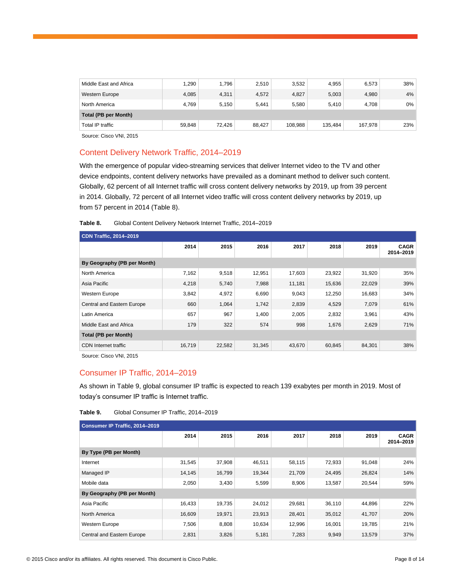| Middle East and Africa | 1.290  | 1.796  | 2,510  | 3,532   | 4,955   | 6,573   | 38%   |
|------------------------|--------|--------|--------|---------|---------|---------|-------|
| <b>Western Europe</b>  | 4.085  | 4,311  | 4,572  | 4,827   | 5,003   | 4,980   | $4\%$ |
| North America          | 4.769  | 5.150  | 5.441  | 5.580   | 5.410   | 4.708   | $0\%$ |
| Total (PB per Month)   |        |        |        |         |         |         |       |
| Total IP traffic       | 59.848 | 72.426 | 88.427 | 108.988 | 135.484 | 167.978 | 23%   |

## Content Delivery Network Traffic, 2014–2019

With the emergence of popular video-streaming services that deliver Internet video to the TV and other device endpoints, content delivery networks have prevailed as a dominant method to deliver such content. Globally, 62 percent of all Internet traffic will cross content delivery networks by 2019, up from 39 percent in 2014. Globally, 72 percent of all Internet video traffic will cross content delivery networks by 2019, up from 57 percent in 2014 (Table 8).

#### **Table 8.** Global Content Delivery Network Internet Traffic, 2014–2019

| <b>CDN Traffic, 2014-2019</b> |        |        |        |        |        |        |                          |  |
|-------------------------------|--------|--------|--------|--------|--------|--------|--------------------------|--|
|                               | 2014   | 2015   | 2016   | 2017   | 2018   | 2019   | <b>CAGR</b><br>2014-2019 |  |
| By Geography (PB per Month)   |        |        |        |        |        |        |                          |  |
| North America                 | 7,162  | 9,518  | 12,951 | 17,603 | 23,922 | 31,920 | 35%                      |  |
| Asia Pacific                  | 4,218  | 5,740  | 7,988  | 11,181 | 15,636 | 22,029 | 39%                      |  |
| Western Europe                | 3,842  | 4,972  | 6,690  | 9,043  | 12,250 | 16,683 | 34%                      |  |
| Central and Eastern Europe    | 660    | 1,064  | 1,742  | 2,839  | 4,529  | 7,079  | 61%                      |  |
| Latin America                 | 657    | 967    | 1,400  | 2,005  | 2,832  | 3,961  | 43%                      |  |
| Middle East and Africa        | 179    | 322    | 574    | 998    | 1,676  | 2,629  | 71%                      |  |
| <b>Total (PB per Month)</b>   |        |        |        |        |        |        |                          |  |
| <b>CDN</b> Internet traffic   | 16,719 | 22,582 | 31,345 | 43,670 | 60,845 | 84,301 | 38%                      |  |

Source: Cisco VNI, 2015

## Consumer IP Traffic, 2014–2019

As shown in Table 9, global consumer IP traffic is expected to reach 139 exabytes per month in 2019. Most of today's consumer IP traffic is Internet traffic.

| Table 9. | Global Consumer IP Traffic, 2014-2019 |  |
|----------|---------------------------------------|--|
|----------|---------------------------------------|--|

| Consumer IP Traffic, 2014-2019 |        |        |        |        |        |        |                          |  |
|--------------------------------|--------|--------|--------|--------|--------|--------|--------------------------|--|
|                                | 2014   | 2015   | 2016   | 2017   | 2018   | 2019   | <b>CAGR</b><br>2014-2019 |  |
| By Type (PB per Month)         |        |        |        |        |        |        |                          |  |
| Internet                       | 31,545 | 37,908 | 46,511 | 58,115 | 72,933 | 91.048 | 24%                      |  |
| Managed IP                     | 14,145 | 16,799 | 19,344 | 21,709 | 24,495 | 26,824 | 14%                      |  |
| Mobile data                    | 2,050  | 3,430  | 5,599  | 8,906  | 13,587 | 20,544 | 59%                      |  |
| By Geography (PB per Month)    |        |        |        |        |        |        |                          |  |
| Asia Pacific                   | 16,433 | 19,735 | 24,012 | 29,681 | 36,110 | 44,896 | 22%                      |  |
| North America                  | 16,609 | 19,971 | 23,913 | 28,401 | 35,012 | 41,707 | 20%                      |  |
| Western Europe                 | 7,506  | 8,808  | 10,634 | 12,996 | 16,001 | 19,785 | 21%                      |  |
| Central and Eastern Europe     | 2,831  | 3,826  | 5,181  | 7,283  | 9,949  | 13,579 | 37%                      |  |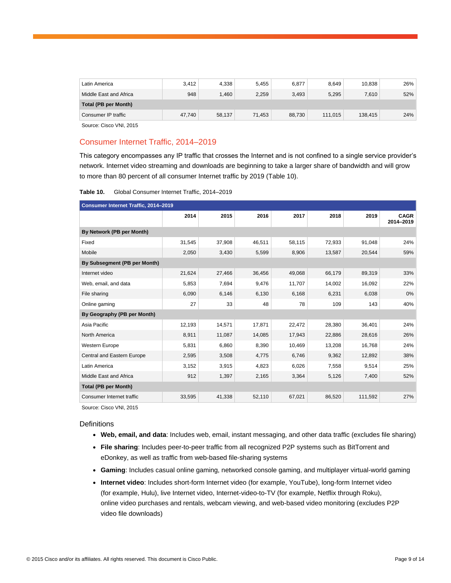| Latin America          | 3,412  | 4.338  | 5.455  | 6,877  | 8.649   | 10.838  | 26% |
|------------------------|--------|--------|--------|--------|---------|---------|-----|
| Middle East and Africa | 948    | 1.460  | 2.259  | 3.493  | 5.295   | 7.610   | 52% |
| Total (PB per Month)   |        |        |        |        |         |         |     |
| Consumer IP traffic    | 47.740 | 58,137 | 71.453 | 88.730 | 111.015 | 138.415 | 24% |

## Consumer Internet Traffic, 2014–2019

This category encompasses any IP traffic that crosses the Internet and is not confined to a single service provider's network. Internet video streaming and downloads are beginning to take a larger share of bandwidth and will grow to more than 80 percent of all consumer Internet traffic by 2019 (Table 10).

| Table 10. | Global Consumer Internet Traffic, 2014-2019 |  |
|-----------|---------------------------------------------|--|
|-----------|---------------------------------------------|--|

| Consumer Internet Traffic, 2014-2019 |        |        |        |        |        |         |                          |  |  |  |  |
|--------------------------------------|--------|--------|--------|--------|--------|---------|--------------------------|--|--|--|--|
|                                      | 2014   | 2015   | 2016   | 2017   | 2018   | 2019    | <b>CAGR</b><br>2014-2019 |  |  |  |  |
| By Network (PB per Month)            |        |        |        |        |        |         |                          |  |  |  |  |
| Fixed                                | 31,545 | 37,908 | 46,511 | 58,115 | 72,933 | 91,048  | 24%                      |  |  |  |  |
| Mobile                               | 2,050  | 3,430  | 5,599  | 8,906  | 13,587 | 20,544  | 59%                      |  |  |  |  |
| By Subsegment (PB per Month)         |        |        |        |        |        |         |                          |  |  |  |  |
| Internet video                       | 21,624 | 27,466 | 36,456 | 49,068 | 66,179 | 89,319  | 33%                      |  |  |  |  |
| Web, email, and data                 | 5,853  | 7,694  | 9,476  | 11,707 | 14,002 | 16,092  | 22%                      |  |  |  |  |
| File sharing                         | 6,090  | 6,146  | 6,130  | 6,168  | 6,231  | 6,038   | 0%                       |  |  |  |  |
| Online gaming                        | 27     | 33     | 48     | 78     | 109    | 143     | 40%                      |  |  |  |  |
| By Geography (PB per Month)          |        |        |        |        |        |         |                          |  |  |  |  |
| Asia Pacific                         | 12,193 | 14,571 | 17,871 | 22,472 | 28,380 | 36,401  | 24%                      |  |  |  |  |
| North America                        | 8,911  | 11,087 | 14,085 | 17,943 | 22,886 | 28,616  | 26%                      |  |  |  |  |
| <b>Western Europe</b>                | 5,831  | 6,860  | 8,390  | 10,469 | 13,208 | 16,768  | 24%                      |  |  |  |  |
| Central and Eastern Europe           | 2,595  | 3,508  | 4,775  | 6,746  | 9,362  | 12,892  | 38%                      |  |  |  |  |
| Latin America                        | 3,152  | 3,915  | 4,823  | 6,026  | 7,558  | 9,514   | 25%                      |  |  |  |  |
| Middle East and Africa               | 912    | 1,397  | 2,165  | 3,364  | 5,126  | 7,400   | 52%                      |  |  |  |  |
| <b>Total (PB per Month)</b>          |        |        |        |        |        |         |                          |  |  |  |  |
| Consumer Internet traffic            | 33,595 | 41,338 | 52,110 | 67,021 | 86,520 | 111,592 | 27%                      |  |  |  |  |

Source: Cisco VNI, 2015

**Definitions** 

- **Web, email, and data**: Includes web, email, instant messaging, and other data traffic (excludes file sharing)
- **File sharing**: Includes peer-to-peer traffic from all recognized P2P systems such as BitTorrent and eDonkey, as well as traffic from web-based file-sharing systems
- **Gaming**: Includes casual online gaming, networked console gaming, and multiplayer virtual-world gaming
- **Internet video**: Includes short-form Internet video (for example, YouTube), long-form Internet video (for example, Hulu), live Internet video, Internet-video-to-TV (for example, Netflix through Roku), online video purchases and rentals, webcam viewing, and web-based video monitoring (excludes P2P video file downloads)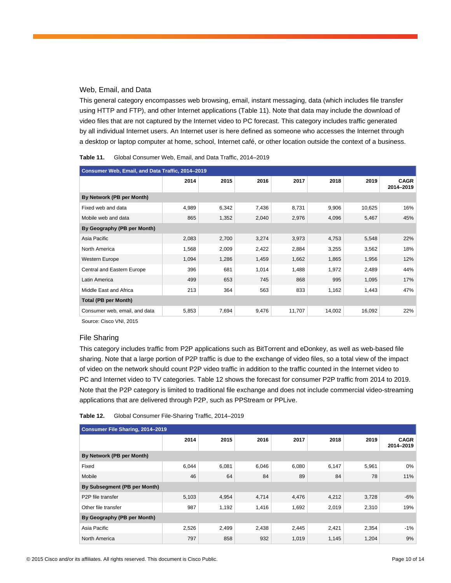## Web, Email, and Data

This general category encompasses web browsing, email, instant messaging, data (which includes file transfer using HTTP and FTP), and other Internet applications (Table 11). Note that data may include the download of video files that are not captured by the Internet video to PC forecast. This category includes traffic generated by all individual Internet users. An Internet user is here defined as someone who accesses the Internet through a desktop or laptop computer at home, school, Internet café, or other location outside the context of a business.

| Consumer Web, Email, and Data Traffic, 2014-2019 |       |       |       |        |        |        |                          |  |  |
|--------------------------------------------------|-------|-------|-------|--------|--------|--------|--------------------------|--|--|
|                                                  | 2014  | 2015  | 2016  | 2017   | 2018   | 2019   | <b>CAGR</b><br>2014-2019 |  |  |
| By Network (PB per Month)                        |       |       |       |        |        |        |                          |  |  |
| Fixed web and data                               | 4,989 | 6,342 | 7,436 | 8,731  | 9,906  | 10,625 | 16%                      |  |  |
| Mobile web and data                              | 865   | 1,352 | 2,040 | 2,976  | 4,096  | 5,467  | 45%                      |  |  |
| By Geography (PB per Month)                      |       |       |       |        |        |        |                          |  |  |
| Asia Pacific                                     | 2,083 | 2,700 | 3,274 | 3,973  | 4,753  | 5,548  | 22%                      |  |  |
| North America                                    | 1,568 | 2,009 | 2,422 | 2,884  | 3,255  | 3,562  | 18%                      |  |  |
| <b>Western Europe</b>                            | 1,094 | 1,286 | 1,459 | 1,662  | 1,865  | 1,956  | 12%                      |  |  |
| Central and Eastern Europe                       | 396   | 681   | 1,014 | 1,488  | 1,972  | 2,489  | 44%                      |  |  |
| Latin America                                    | 499   | 653   | 745   | 868    | 995    | 1,095  | 17%                      |  |  |
| Middle East and Africa                           | 213   | 364   | 563   | 833    | 1,162  | 1,443  | 47%                      |  |  |
| <b>Total (PB per Month)</b>                      |       |       |       |        |        |        |                          |  |  |
| Consumer web, email, and data                    | 5,853 | 7,694 | 9,476 | 11,707 | 14,002 | 16,092 | 22%                      |  |  |

| Table 11. | Global Consumer Web, Email, and Data Traffic, 2014–2019 |  |  |
|-----------|---------------------------------------------------------|--|--|
|-----------|---------------------------------------------------------|--|--|

Source: Cisco VNI, 2015

#### File Sharing

This category includes traffic from P2P applications such as BitTorrent and eDonkey, as well as web-based file sharing. Note that a large portion of P2P traffic is due to the exchange of video files, so a total view of the impact of video on the network should count P2P video traffic in addition to the traffic counted in the Internet video to PC and Internet video to TV categories. Table 12 shows the forecast for consumer P2P traffic from 2014 to 2019. Note that the P2P category is limited to traditional file exchange and does not include commercial video-streaming applications that are delivered through P2P, such as PPStream or PPLive.

| Table 12. | Global Consumer File-Sharing Traffic, 2014-2019 |  |  |  |
|-----------|-------------------------------------------------|--|--|--|
|-----------|-------------------------------------------------|--|--|--|

| Consumer File Sharing, 2014-2019 |       |       |       |       |       |       |                          |  |
|----------------------------------|-------|-------|-------|-------|-------|-------|--------------------------|--|
|                                  | 2014  | 2015  | 2016  | 2017  | 2018  | 2019  | <b>CAGR</b><br>2014-2019 |  |
| By Network (PB per Month)        |       |       |       |       |       |       |                          |  |
| Fixed                            | 6,044 | 6,081 | 6,046 | 6,080 | 6,147 | 5,961 | 0%                       |  |
| Mobile                           | 46    | 64    | 84    | 89    | 84    | 78    | 11%                      |  |
| By Subsegment (PB per Month)     |       |       |       |       |       |       |                          |  |
| P <sub>2</sub> P file transfer   | 5,103 | 4,954 | 4,714 | 4,476 | 4,212 | 3,728 | -6%                      |  |
| Other file transfer              | 987   | 1,192 | 1,416 | 1,692 | 2,019 | 2,310 | 19%                      |  |
| By Geography (PB per Month)      |       |       |       |       |       |       |                          |  |
| Asia Pacific                     | 2,526 | 2,499 | 2,438 | 2,445 | 2,421 | 2,354 | -1%                      |  |
| North America                    | 797   | 858   | 932   | 1,019 | 1,145 | 1,204 | 9%                       |  |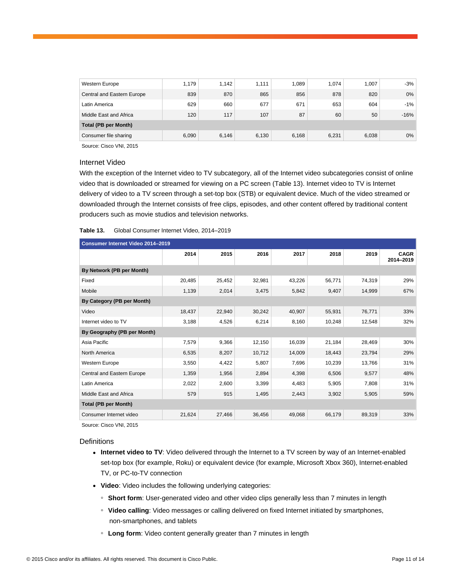| Western Europe             | 1.179 | 1.142 | 1.111 | 1.089 | 1.074 | 1.007 | $-3%$  |
|----------------------------|-------|-------|-------|-------|-------|-------|--------|
| Central and Eastern Europe | 839   | 870   | 865   | 856   | 878   | 820   | $0\%$  |
| Latin America              | 629   | 660   | 677   | 671   | 653   | 604   | $-1%$  |
| Middle East and Africa     | 120   | 117   | 107   | 87    | 60    | 50    | $-16%$ |
| Total (PB per Month)       |       |       |       |       |       |       |        |
| Consumer file sharing      | 6,090 | 6.146 | 6,130 | 6,168 | 6,231 | 6,038 | $0\%$  |

## Internet Video

With the exception of the Internet video to TV subcategory, all of the Internet video subcategories consist of online video that is downloaded or streamed for viewing on a PC screen (Table 13). Internet video to TV is Internet delivery of video to a TV screen through a set-top box (STB) or equivalent device. Much of the video streamed or downloaded through the Internet consists of free clips, episodes, and other content offered by traditional content producers such as movie studios and television networks.

### **Table 13.** Global Consumer Internet Video, 2014–2019

| Consumer Internet Video 2014-2019 |        |        |        |        |        |        |                          |  |  |
|-----------------------------------|--------|--------|--------|--------|--------|--------|--------------------------|--|--|
|                                   | 2014   | 2015   | 2016   | 2017   | 2018   | 2019   | <b>CAGR</b><br>2014-2019 |  |  |
| By Network (PB per Month)         |        |        |        |        |        |        |                          |  |  |
| Fixed                             | 20,485 | 25,452 | 32,981 | 43,226 | 56,771 | 74,319 | 29%                      |  |  |
| Mobile                            | 1,139  | 2,014  | 3,475  | 5,842  | 9,407  | 14,999 | 67%                      |  |  |
| By Category (PB per Month)        |        |        |        |        |        |        |                          |  |  |
| Video                             | 18,437 | 22,940 | 30,242 | 40,907 | 55,931 | 76,771 | 33%                      |  |  |
| Internet video to TV              | 3,188  | 4,526  | 6,214  | 8,160  | 10,248 | 12,548 | 32%                      |  |  |
| By Geography (PB per Month)       |        |        |        |        |        |        |                          |  |  |
| Asia Pacific                      | 7,579  | 9,366  | 12,150 | 16,039 | 21,184 | 28,469 | 30%                      |  |  |
| North America                     | 6,535  | 8,207  | 10,712 | 14,009 | 18,443 | 23,794 | 29%                      |  |  |
| Western Europe                    | 3,550  | 4,422  | 5,807  | 7,696  | 10,239 | 13,766 | 31%                      |  |  |
| Central and Eastern Europe        | 1,359  | 1,956  | 2,894  | 4,398  | 6,506  | 9,577  | 48%                      |  |  |
| Latin America                     | 2,022  | 2,600  | 3,399  | 4,483  | 5,905  | 7,808  | 31%                      |  |  |
| Middle East and Africa            | 579    | 915    | 1,495  | 2,443  | 3,902  | 5,905  | 59%                      |  |  |
| Total (PB per Month)              |        |        |        |        |        |        |                          |  |  |
| Consumer Internet video           | 21,624 | 27,466 | 36,456 | 49,068 | 66,179 | 89,319 | 33%                      |  |  |

Source: Cisco VNI, 2015

#### **Definitions**

- Internet video to TV: Video delivered through the Internet to a TV screen by way of an Internet-enabled set-top box (for example, Roku) or equivalent device (for example, Microsoft Xbox 360), Internet-enabled TV, or PC-to-TV connection
- **Video**: Video includes the following underlying categories:
	- **Short form**: User-generated video and other video clips generally less than 7 minutes in length
	- **Video calling**: Video messages or calling delivered on fixed Internet initiated by smartphones, non-smartphones, and tablets
	- **Long form**: Video content generally greater than 7 minutes in length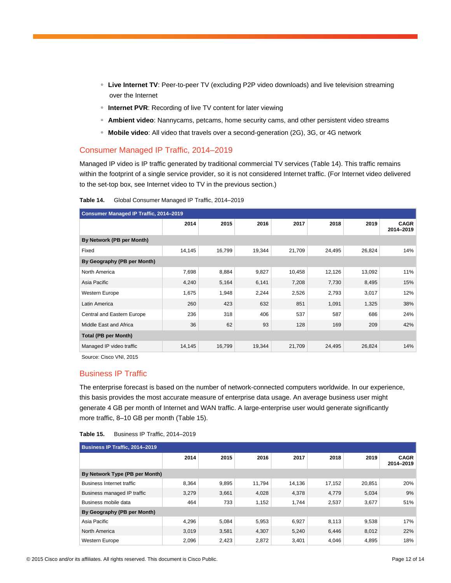- **Live Internet TV**: Peer-to-peer TV (excluding P2P video downloads) and live television streaming over the Internet
- **Internet PVR**: Recording of live TV content for later viewing
- **Ambient video**: Nannycams, petcams, home security cams, and other persistent video streams
- **Mobile video**: All video that travels over a second-generation (2G), 3G, or 4G network

## Consumer Managed IP Traffic, 2014–2019

Managed IP video is IP traffic generated by traditional commercial TV services (Table 14). This traffic remains within the footprint of a single service provider, so it is not considered Internet traffic. (For Internet video delivered to the set-top box, see Internet video to TV in the previous section.)

| Table 14. | Global Consumer Managed IP Traffic, 2014-2019 |  |  |  |  |
|-----------|-----------------------------------------------|--|--|--|--|
|-----------|-----------------------------------------------|--|--|--|--|

| <b>Consumer Managed IP Traffic, 2014-2019</b> |        |        |        |        |        |        |                          |  |  |
|-----------------------------------------------|--------|--------|--------|--------|--------|--------|--------------------------|--|--|
|                                               | 2014   | 2015   | 2016   | 2017   | 2018   | 2019   | <b>CAGR</b><br>2014-2019 |  |  |
| By Network (PB per Month)                     |        |        |        |        |        |        |                          |  |  |
| Fixed                                         | 14,145 | 16,799 | 19,344 | 21,709 | 24,495 | 26,824 | 14%                      |  |  |
| By Geography (PB per Month)                   |        |        |        |        |        |        |                          |  |  |
| North America                                 | 7,698  | 8,884  | 9,827  | 10,458 | 12,126 | 13,092 | 11%                      |  |  |
| Asia Pacific                                  | 4,240  | 5,164  | 6,141  | 7,208  | 7,730  | 8,495  | 15%                      |  |  |
| Western Europe                                | 1,675  | 1,948  | 2,244  | 2,526  | 2,793  | 3,017  | 12%                      |  |  |
| Latin America                                 | 260    | 423    | 632    | 851    | 1,091  | 1,325  | 38%                      |  |  |
| Central and Eastern Europe                    | 236    | 318    | 406    | 537    | 587    | 686    | 24%                      |  |  |
| Middle East and Africa                        | 36     | 62     | 93     | 128    | 169    | 209    | 42%                      |  |  |
| <b>Total (PB per Month)</b>                   |        |        |        |        |        |        |                          |  |  |
| Managed IP video traffic                      | 14,145 | 16,799 | 19,344 | 21,709 | 24,495 | 26,824 | 14%                      |  |  |

Source: Cisco VNI, 2015

## Business IP Traffic

The enterprise forecast is based on the number of network-connected computers worldwide. In our experience, this basis provides the most accurate measure of enterprise data usage. An average business user might generate 4 GB per month of Internet and WAN traffic. A large-enterprise user would generate significantly more traffic, 8–10 GB per month (Table 15).

| Table 15. | Business IP Traffic, 2014-2019 |  |  |
|-----------|--------------------------------|--|--|
|-----------|--------------------------------|--|--|

| Business IP Traffic, 2014-2019   |       |       |        |        |        |        |                          |  |
|----------------------------------|-------|-------|--------|--------|--------|--------|--------------------------|--|
|                                  | 2014  | 2015  | 2016   | 2017   | 2018   | 2019   | <b>CAGR</b><br>2014-2019 |  |
| By Network Type (PB per Month)   |       |       |        |        |        |        |                          |  |
| <b>Business Internet traffic</b> | 8,364 | 9,895 | 11,794 | 14,136 | 17,152 | 20,851 | 20%                      |  |
| Business managed IP traffic      | 3,279 | 3,661 | 4,028  | 4,378  | 4,779  | 5,034  | 9%                       |  |
| Business mobile data             | 464   | 733   | 1,152  | 1,744  | 2,537  | 3,677  | 51%                      |  |
| By Geography (PB per Month)      |       |       |        |        |        |        |                          |  |
| Asia Pacific                     | 4.296 | 5,084 | 5,953  | 6,927  | 8,113  | 9,538  | 17%                      |  |
| North America                    | 3,019 | 3,581 | 4,307  | 5,240  | 6,446  | 8,012  | 22%                      |  |
| Western Europe                   | 2,096 | 2,423 | 2,872  | 3,401  | 4,046  | 4,895  | 18%                      |  |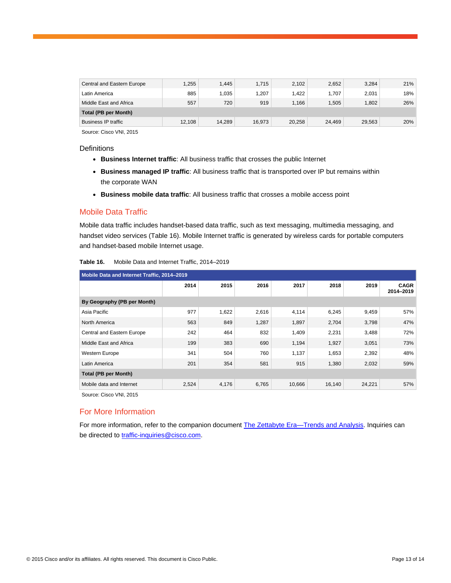| Central and Eastern Europe | 1,255  | 1.445  | 1.715  | 2.102  | 2,652  | 3,284  | 21% |  |
|----------------------------|--------|--------|--------|--------|--------|--------|-----|--|
| Latin America              | 885    | 1.035  | 1.207  | 1.422  | 1.707  | 2.031  | 18% |  |
| Middle East and Africa     | 557    | 720    | 919    | 1.166  | 1.505  | 1.802  | 26% |  |
| Total (PB per Month)       |        |        |        |        |        |        |     |  |
| <b>Business IP traffic</b> | 12.108 | 14.289 | 16.973 | 20.258 | 24.469 | 29.563 | 20% |  |

## **Definitions**

- **Business Internet traffic**: All business traffic that crosses the public Internet
- **Business managed IP traffic**: All business traffic that is transported over IP but remains within the corporate WAN
- **Business mobile data traffic**: All business traffic that crosses a mobile access point

## Mobile Data Traffic

Mobile data traffic includes handset-based data traffic, such as text messaging, multimedia messaging, and handset video services (Table 16). Mobile Internet traffic is generated by wireless cards for portable computers and handset-based mobile Internet usage.

| Mobile Data and Internet Traffic, 2014-2019 |       |       |       |        |        |        |                          |  |
|---------------------------------------------|-------|-------|-------|--------|--------|--------|--------------------------|--|
|                                             | 2014  | 2015  | 2016  | 2017   | 2018   | 2019   | <b>CAGR</b><br>2014-2019 |  |
| By Geography (PB per Month)                 |       |       |       |        |        |        |                          |  |
| Asia Pacific                                | 977   | 1,622 | 2,616 | 4,114  | 6,245  | 9,459  | 57%                      |  |
| North America                               | 563   | 849   | 1,287 | 1,897  | 2,704  | 3,798  | 47%                      |  |
| Central and Eastern Europe                  | 242   | 464   | 832   | 1,409  | 2,231  | 3,488  | 72%                      |  |
| Middle East and Africa                      | 199   | 383   | 690   | 1,194  | 1,927  | 3,051  | 73%                      |  |
| Western Europe                              | 341   | 504   | 760   | 1,137  | 1,653  | 2,392  | 48%                      |  |
| Latin America                               | 201   | 354   | 581   | 915    | 1,380  | 2,032  | 59%                      |  |
| <b>Total (PB per Month)</b>                 |       |       |       |        |        |        |                          |  |
| Mobile data and Internet                    | 2,524 | 4,176 | 6,765 | 10,666 | 16,140 | 24,221 | 57%                      |  |

#### **Table 16.** Mobile Data and Internet Traffic, 2014–2019

Source: Cisco VNI, 2015

## For More Information

For more information, refer to the companion document [The Zettabyte Era—](http://www.cisco.com/en/US/solutions/collateral/ns341/ns525/ns537/ns705/ns827/VNI_Hyperconnectivity_WP.html)Trends and Analysis. Inquiries can be directed to [traffic-inquiries@cisco.com.](mailto:traffic-inquiries@cisco.com)